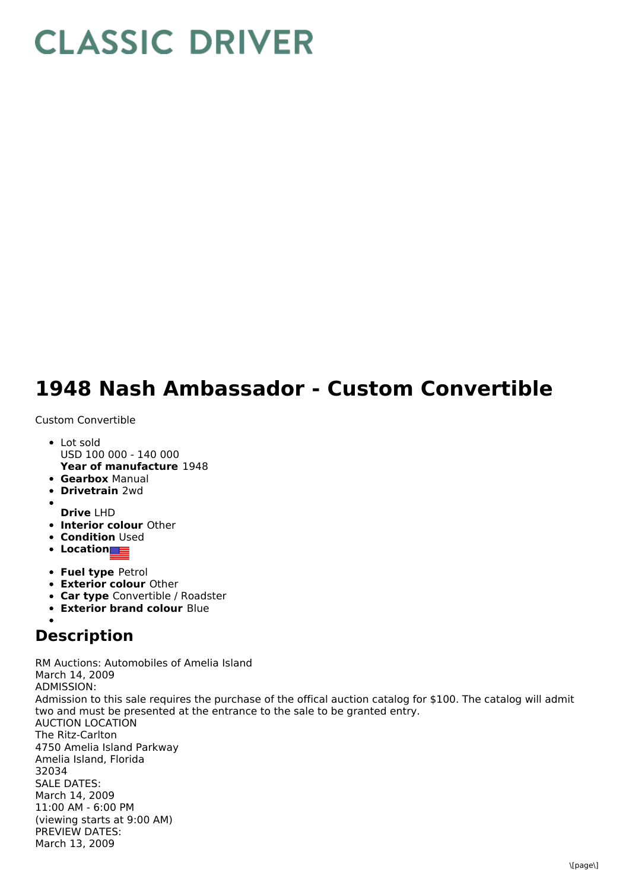## **CLASSIC DRIVER**

## **1948 Nash Ambassador - Custom Convertible**

Custom Convertible

- **Year of manufacture** 1948 • Lot sold USD 100 000 - 140 000
- **Gearbox** Manual
- **Drivetrain** 2wd
- **Drive** LHD
- **Interior colour** Other
- **Condition Used**
- **Location**
- **Fuel type** Petrol
- **Exterior colour** Other
- **Car type** Convertible / Roadster
- **Exterior brand colour** Blue

## **Description**

RM Auctions: Automobiles of Amelia Island March 14, 2009 ADMISSION: Admission to this sale requires the purchase of the offical auction catalog for \$100. The catalog will admit two and must be presented at the entrance to the sale to be granted entry. AUCTION LOCATION The Ritz-Carlton 4750 Amelia Island Parkway Amelia Island, Florida 32034 SALE DATES: March 14, 2009 11:00 AM - 6:00 PM (viewing starts at 9:00 AM) PREVIEW DATES: March 13, 2009